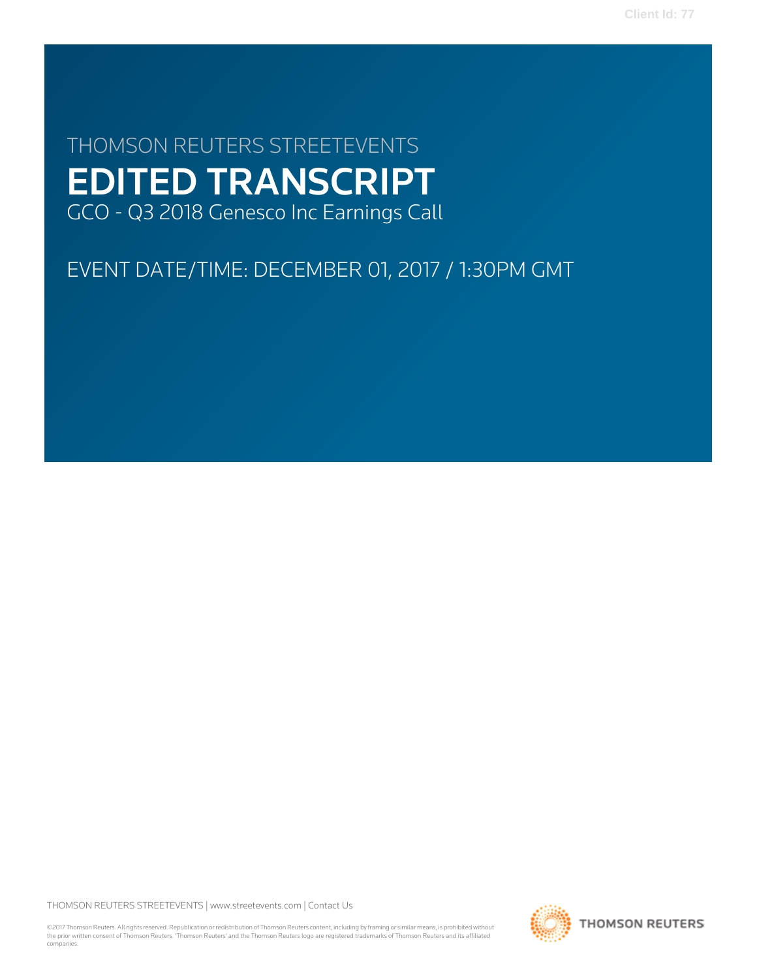**Client Id: 77**

# THOMSON REUTERS STREETEVENTS EDITED TRANSCRIPT GCO - Q3 2018 Genesco Inc Earnings Call

EVENT DATE/TIME: DECEMBER 01, 2017 / 1:30PM GMT

THOMSON REUTERS STREETEVENTS | [www.streetevents.com](http://www.streetevents.com) | [Contact Us](http://www010.streetevents.com/contact.asp)

©2017 Thomson Reuters. All rights reserved. Republication or redistribution of Thomson Reuters content, including by framing or similar means, is prohibited without the prior written consent of Thomson Reuters. 'Thomson Reuters' and the Thomson Reuters logo are registered trademarks of Thomson Reuters and its affiliated companies.

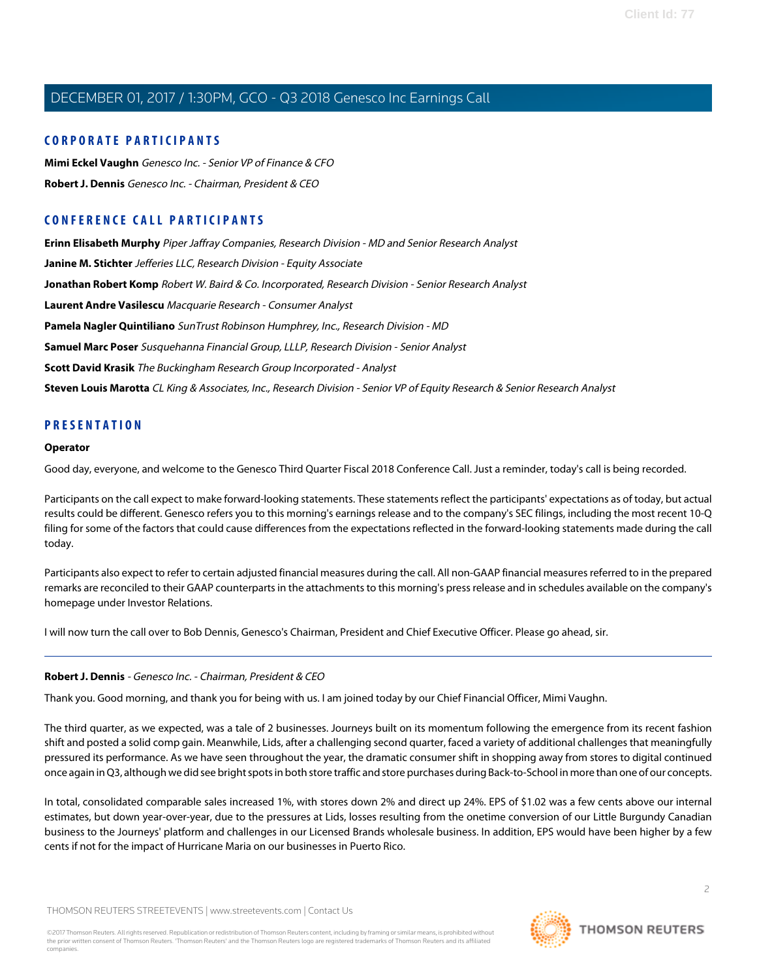# **CORPORATE PARTICIPANTS**

**[Mimi Eckel Vaughn](#page-3-0)** Genesco Inc. - Senior VP of Finance & CFO **[Robert J. Dennis](#page-1-0)** Genesco Inc. - Chairman, President & CEO

# **CONFERENCE CALL PARTICIPANTS**

**[Erinn Elisabeth Murphy](#page-9-0)** Piper Jaffray Companies, Research Division - MD and Senior Research Analyst **[Janine M. Stichter](#page-12-0)** Jefferies LLC, Research Division - Equity Associate **[Jonathan Robert Komp](#page-11-0)** Robert W. Baird & Co. Incorporated, Research Division - Senior Research Analyst **[Laurent Andre Vasilescu](#page-10-0)** Macquarie Research - Consumer Analyst **[Pamela Nagler Quintiliano](#page-8-0)** SunTrust Robinson Humphrey, Inc., Research Division - MD **[Samuel Marc Poser](#page-12-1)** Susquehanna Financial Group, LLLP, Research Division - Senior Analyst **[Scott David Krasik](#page-13-0)** The Buckingham Research Group Incorporated - Analyst **[Steven Louis Marotta](#page-10-1)** CL King & Associates, Inc., Research Division - Senior VP of Equity Research & Senior Research Analyst

# **PRESENTATION**

#### **Operator**

Good day, everyone, and welcome to the Genesco Third Quarter Fiscal 2018 Conference Call. Just a reminder, today's call is being recorded.

Participants on the call expect to make forward-looking statements. These statements reflect the participants' expectations as of today, but actual results could be different. Genesco refers you to this morning's earnings release and to the company's SEC filings, including the most recent 10-Q filing for some of the factors that could cause differences from the expectations reflected in the forward-looking statements made during the call today.

Participants also expect to refer to certain adjusted financial measures during the call. All non-GAAP financial measures referred to in the prepared remarks are reconciled to their GAAP counterparts in the attachments to this morning's press release and in schedules available on the company's homepage under Investor Relations.

<span id="page-1-0"></span>I will now turn the call over to Bob Dennis, Genesco's Chairman, President and Chief Executive Officer. Please go ahead, sir.

# **Robert J. Dennis** - Genesco Inc. - Chairman, President & CEO

Thank you. Good morning, and thank you for being with us. I am joined today by our Chief Financial Officer, Mimi Vaughn.

The third quarter, as we expected, was a tale of 2 businesses. Journeys built on its momentum following the emergence from its recent fashion shift and posted a solid comp gain. Meanwhile, Lids, after a challenging second quarter, faced a variety of additional challenges that meaningfully pressured its performance. As we have seen throughout the year, the dramatic consumer shift in shopping away from stores to digital continued once again in Q3, although we did see bright spots in both store traffic and store purchases during Back-to-School in more than one of our concepts.

In total, consolidated comparable sales increased 1%, with stores down 2% and direct up 24%. EPS of \$1.02 was a few cents above our internal estimates, but down year-over-year, due to the pressures at Lids, losses resulting from the onetime conversion of our Little Burgundy Canadian business to the Journeys' platform and challenges in our Licensed Brands wholesale business. In addition, EPS would have been higher by a few cents if not for the impact of Hurricane Maria on our businesses in Puerto Rico.

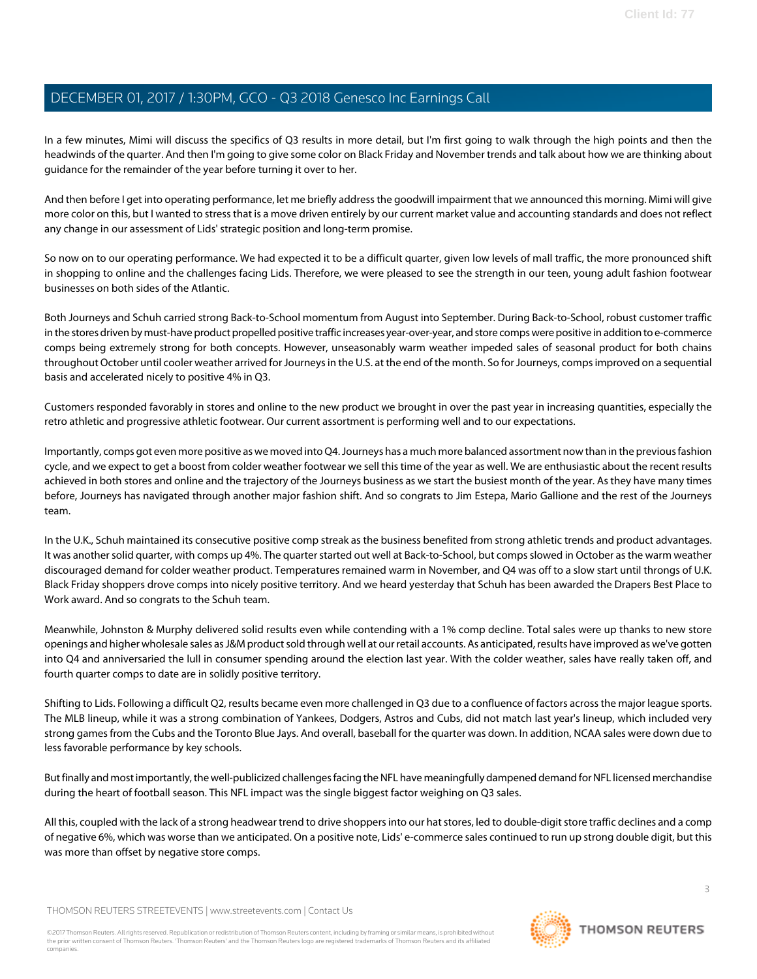In a few minutes, Mimi will discuss the specifics of Q3 results in more detail, but I'm first going to walk through the high points and then the headwinds of the quarter. And then I'm going to give some color on Black Friday and November trends and talk about how we are thinking about guidance for the remainder of the year before turning it over to her.

And then before I get into operating performance, let me briefly address the goodwill impairment that we announced this morning. Mimi will give more color on this, but I wanted to stress that is a move driven entirely by our current market value and accounting standards and does not reflect any change in our assessment of Lids' strategic position and long-term promise.

So now on to our operating performance. We had expected it to be a difficult quarter, given low levels of mall traffic, the more pronounced shift in shopping to online and the challenges facing Lids. Therefore, we were pleased to see the strength in our teen, young adult fashion footwear businesses on both sides of the Atlantic.

Both Journeys and Schuh carried strong Back-to-School momentum from August into September. During Back-to-School, robust customer traffic in the stores driven by must-have product propelled positive traffic increases year-over-year, and store comps were positive in addition to e-commerce comps being extremely strong for both concepts. However, unseasonably warm weather impeded sales of seasonal product for both chains throughout October until cooler weather arrived for Journeys in the U.S. at the end of the month. So for Journeys, comps improved on a sequential basis and accelerated nicely to positive 4% in Q3.

Customers responded favorably in stores and online to the new product we brought in over the past year in increasing quantities, especially the retro athletic and progressive athletic footwear. Our current assortment is performing well and to our expectations.

Importantly, comps got even more positive as we moved into Q4. Journeys has a much more balanced assortment now than in the previous fashion cycle, and we expect to get a boost from colder weather footwear we sell this time of the year as well. We are enthusiastic about the recent results achieved in both stores and online and the trajectory of the Journeys business as we start the busiest month of the year. As they have many times before, Journeys has navigated through another major fashion shift. And so congrats to Jim Estepa, Mario Gallione and the rest of the Journeys team.

In the U.K., Schuh maintained its consecutive positive comp streak as the business benefited from strong athletic trends and product advantages. It was another solid quarter, with comps up 4%. The quarter started out well at Back-to-School, but comps slowed in October as the warm weather discouraged demand for colder weather product. Temperatures remained warm in November, and Q4 was off to a slow start until throngs of U.K. Black Friday shoppers drove comps into nicely positive territory. And we heard yesterday that Schuh has been awarded the Drapers Best Place to Work award. And so congrats to the Schuh team.

Meanwhile, Johnston & Murphy delivered solid results even while contending with a 1% comp decline. Total sales were up thanks to new store openings and higher wholesale sales as J&M product sold through well at our retail accounts. As anticipated, results have improved as we've gotten into Q4 and anniversaried the lull in consumer spending around the election last year. With the colder weather, sales have really taken off, and fourth quarter comps to date are in solidly positive territory.

Shifting to Lids. Following a difficult Q2, results became even more challenged in Q3 due to a confluence of factors across the major league sports. The MLB lineup, while it was a strong combination of Yankees, Dodgers, Astros and Cubs, did not match last year's lineup, which included very strong games from the Cubs and the Toronto Blue Jays. And overall, baseball for the quarter was down. In addition, NCAA sales were down due to less favorable performance by key schools.

But finally and most importantly, the well-publicized challenges facing the NFL have meaningfully dampened demand for NFL licensed merchandise during the heart of football season. This NFL impact was the single biggest factor weighing on Q3 sales.

All this, coupled with the lack of a strong headwear trend to drive shoppers into our hat stores, led to double-digit store traffic declines and a comp of negative 6%, which was worse than we anticipated. On a positive note, Lids' e-commerce sales continued to run up strong double digit, but this was more than offset by negative store comps.

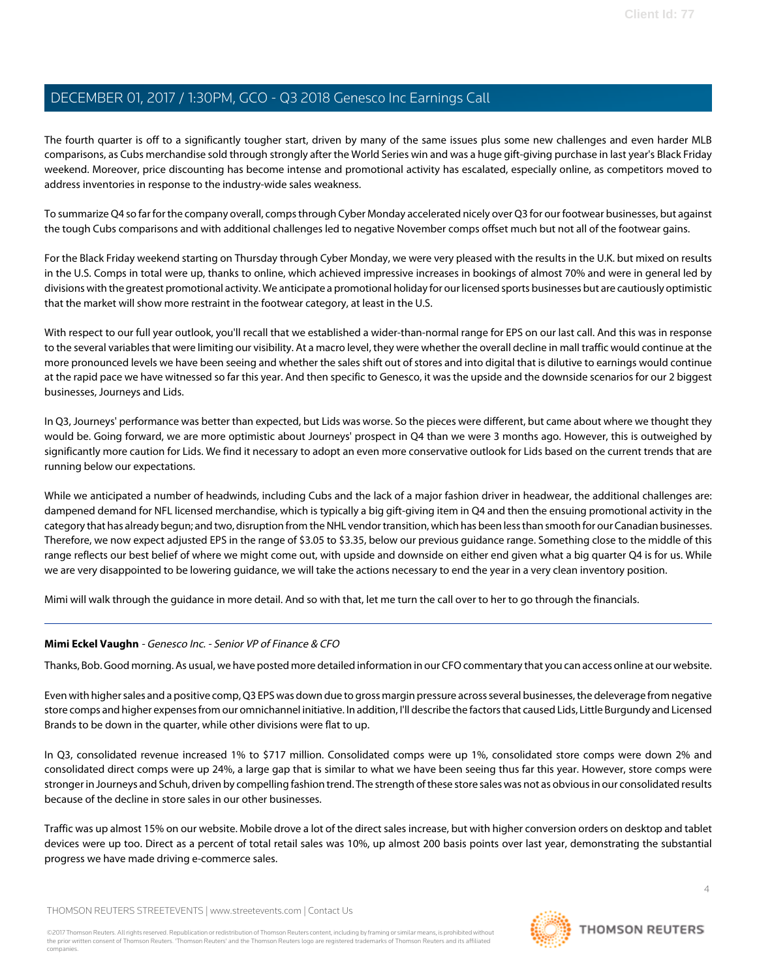The fourth quarter is off to a significantly tougher start, driven by many of the same issues plus some new challenges and even harder MLB comparisons, as Cubs merchandise sold through strongly after the World Series win and was a huge gift-giving purchase in last year's Black Friday weekend. Moreover, price discounting has become intense and promotional activity has escalated, especially online, as competitors moved to address inventories in response to the industry-wide sales weakness.

To summarize Q4 so far for the company overall, comps through Cyber Monday accelerated nicely over Q3 for our footwear businesses, but against the tough Cubs comparisons and with additional challenges led to negative November comps offset much but not all of the footwear gains.

For the Black Friday weekend starting on Thursday through Cyber Monday, we were very pleased with the results in the U.K. but mixed on results in the U.S. Comps in total were up, thanks to online, which achieved impressive increases in bookings of almost 70% and were in general led by divisions with the greatest promotional activity. We anticipate a promotional holiday for our licensed sports businesses but are cautiously optimistic that the market will show more restraint in the footwear category, at least in the U.S.

With respect to our full year outlook, you'll recall that we established a wider-than-normal range for EPS on our last call. And this was in response to the several variables that were limiting our visibility. At a macro level, they were whether the overall decline in mall traffic would continue at the more pronounced levels we have been seeing and whether the sales shift out of stores and into digital that is dilutive to earnings would continue at the rapid pace we have witnessed so far this year. And then specific to Genesco, it was the upside and the downside scenarios for our 2 biggest businesses, Journeys and Lids.

In Q3, Journeys' performance was better than expected, but Lids was worse. So the pieces were different, but came about where we thought they would be. Going forward, we are more optimistic about Journeys' prospect in Q4 than we were 3 months ago. However, this is outweighed by significantly more caution for Lids. We find it necessary to adopt an even more conservative outlook for Lids based on the current trends that are running below our expectations.

While we anticipated a number of headwinds, including Cubs and the lack of a major fashion driver in headwear, the additional challenges are: dampened demand for NFL licensed merchandise, which is typically a big gift-giving item in Q4 and then the ensuing promotional activity in the category that has already begun; and two, disruption from the NHL vendor transition, which has been less than smooth for our Canadian businesses. Therefore, we now expect adjusted EPS in the range of \$3.05 to \$3.35, below our previous guidance range. Something close to the middle of this range reflects our best belief of where we might come out, with upside and downside on either end given what a big quarter Q4 is for us. While we are very disappointed to be lowering guidance, we will take the actions necessary to end the year in a very clean inventory position.

<span id="page-3-0"></span>Mimi will walk through the guidance in more detail. And so with that, let me turn the call over to her to go through the financials.

# **Mimi Eckel Vaughn** - Genesco Inc. - Senior VP of Finance & CFO

Thanks, Bob. Good morning. As usual, we have posted more detailed information in our CFO commentary that you can access online at our website.

Even with higher sales and a positive comp, Q3 EPS was down due to gross margin pressure across several businesses, the deleverage from negative store comps and higher expenses from our omnichannel initiative. In addition, I'll describe the factors that caused Lids, Little Burgundy and Licensed Brands to be down in the quarter, while other divisions were flat to up.

In Q3, consolidated revenue increased 1% to \$717 million. Consolidated comps were up 1%, consolidated store comps were down 2% and consolidated direct comps were up 24%, a large gap that is similar to what we have been seeing thus far this year. However, store comps were stronger in Journeys and Schuh, driven by compelling fashion trend. The strength of these store sales was not as obvious in our consolidated results because of the decline in store sales in our other businesses.

Traffic was up almost 15% on our website. Mobile drove a lot of the direct sales increase, but with higher conversion orders on desktop and tablet devices were up too. Direct as a percent of total retail sales was 10%, up almost 200 basis points over last year, demonstrating the substantial progress we have made driving e-commerce sales.

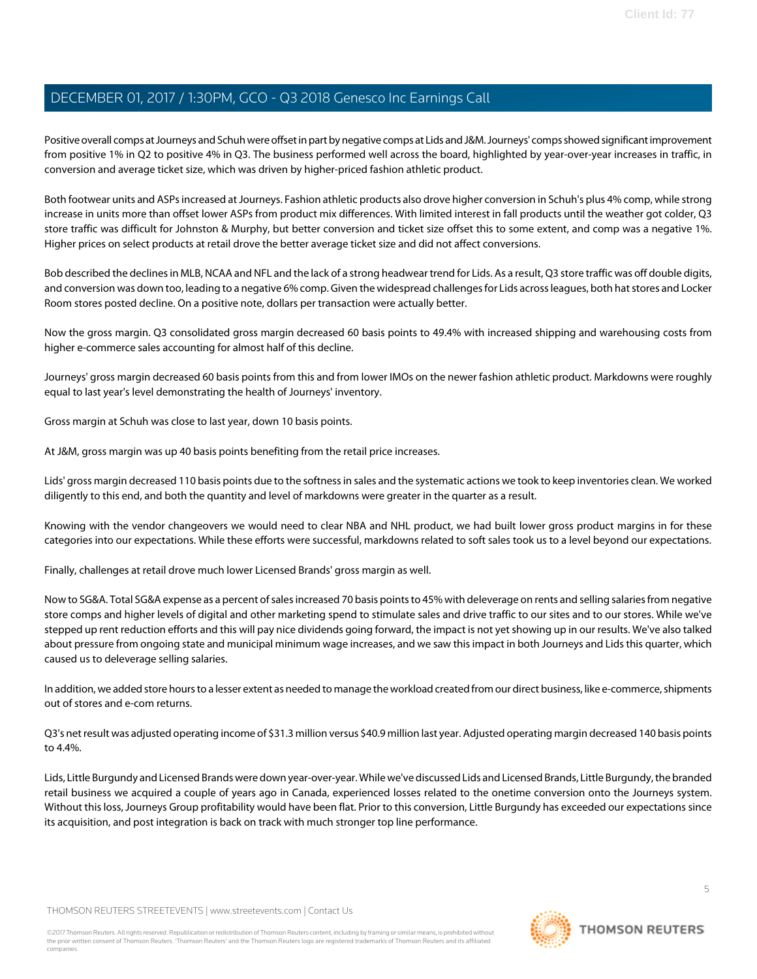Positive overall comps at Journeys and Schuh were offset in part by negative comps at Lids and J&M. Journeys' comps showed significant improvement from positive 1% in Q2 to positive 4% in Q3. The business performed well across the board, highlighted by year-over-year increases in traffic, in conversion and average ticket size, which was driven by higher-priced fashion athletic product.

Both footwear units and ASPs increased at Journeys. Fashion athletic products also drove higher conversion in Schuh's plus 4% comp, while strong increase in units more than offset lower ASPs from product mix differences. With limited interest in fall products until the weather got colder, Q3 store traffic was difficult for Johnston & Murphy, but better conversion and ticket size offset this to some extent, and comp was a negative 1%. Higher prices on select products at retail drove the better average ticket size and did not affect conversions.

Bob described the declines in MLB, NCAA and NFL and the lack of a strong headwear trend for Lids. As a result, Q3 store traffic was off double digits, and conversion was down too, leading to a negative 6% comp. Given the widespread challenges for Lids across leagues, both hat stores and Locker Room stores posted decline. On a positive note, dollars per transaction were actually better.

Now the gross margin. Q3 consolidated gross margin decreased 60 basis points to 49.4% with increased shipping and warehousing costs from higher e-commerce sales accounting for almost half of this decline.

Journeys' gross margin decreased 60 basis points from this and from lower IMOs on the newer fashion athletic product. Markdowns were roughly equal to last year's level demonstrating the health of Journeys' inventory.

Gross margin at Schuh was close to last year, down 10 basis points.

At J&M, gross margin was up 40 basis points benefiting from the retail price increases.

Lids' gross margin decreased 110 basis points due to the softness in sales and the systematic actions we took to keep inventories clean. We worked diligently to this end, and both the quantity and level of markdowns were greater in the quarter as a result.

Knowing with the vendor changeovers we would need to clear NBA and NHL product, we had built lower gross product margins in for these categories into our expectations. While these efforts were successful, markdowns related to soft sales took us to a level beyond our expectations.

Finally, challenges at retail drove much lower Licensed Brands' gross margin as well.

Now to SG&A. Total SG&A expense as a percent of sales increased 70 basis points to 45% with deleverage on rents and selling salaries from negative store comps and higher levels of digital and other marketing spend to stimulate sales and drive traffic to our sites and to our stores. While we've stepped up rent reduction efforts and this will pay nice dividends going forward, the impact is not yet showing up in our results. We've also talked about pressure from ongoing state and municipal minimum wage increases, and we saw this impact in both Journeys and Lids this quarter, which caused us to deleverage selling salaries.

In addition, we added store hours to a lesser extent as needed to manage the workload created from our direct business, like e-commerce, shipments out of stores and e-com returns.

Q3's net result was adjusted operating income of \$31.3 million versus \$40.9 million last year. Adjusted operating margin decreased 140 basis points to 4.4%.

Lids, Little Burgundy and Licensed Brands were down year-over-year. While we've discussed Lids and Licensed Brands, Little Burgundy, the branded retail business we acquired a couple of years ago in Canada, experienced losses related to the onetime conversion onto the Journeys system. Without this loss, Journeys Group profitability would have been flat. Prior to this conversion, Little Burgundy has exceeded our expectations since its acquisition, and post integration is back on track with much stronger top line performance.

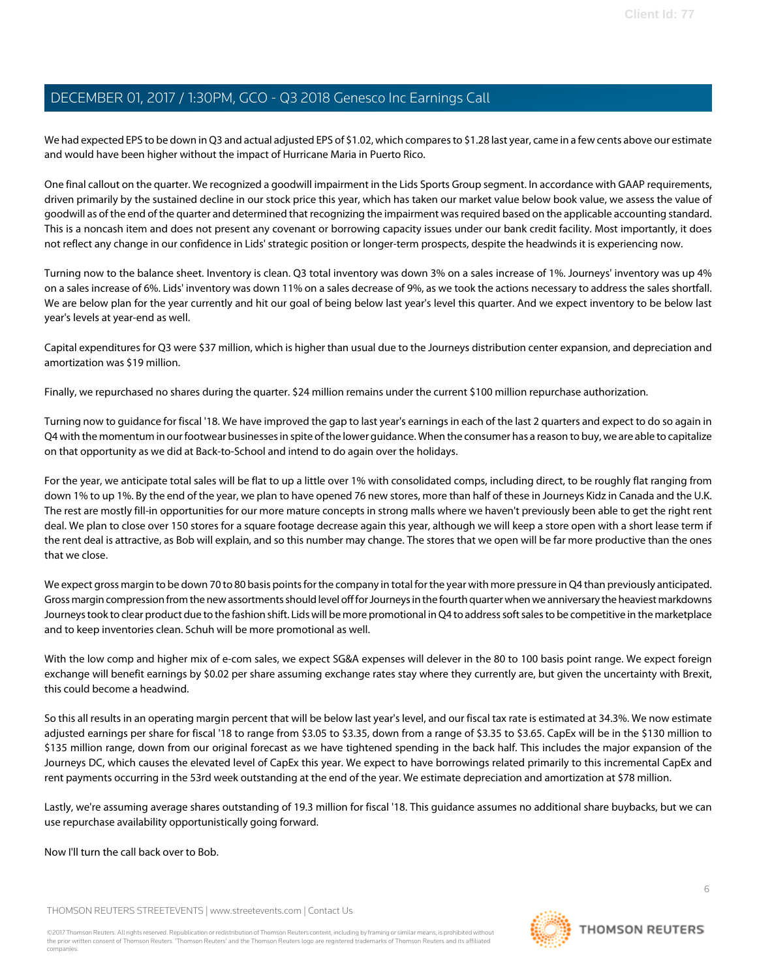We had expected EPS to be down in Q3 and actual adjusted EPS of \$1.02, which compares to \$1.28 last year, came in a few cents above our estimate and would have been higher without the impact of Hurricane Maria in Puerto Rico.

One final callout on the quarter. We recognized a goodwill impairment in the Lids Sports Group segment. In accordance with GAAP requirements, driven primarily by the sustained decline in our stock price this year, which has taken our market value below book value, we assess the value of goodwill as of the end of the quarter and determined that recognizing the impairment was required based on the applicable accounting standard. This is a noncash item and does not present any covenant or borrowing capacity issues under our bank credit facility. Most importantly, it does not reflect any change in our confidence in Lids' strategic position or longer-term prospects, despite the headwinds it is experiencing now.

Turning now to the balance sheet. Inventory is clean. Q3 total inventory was down 3% on a sales increase of 1%. Journeys' inventory was up 4% on a sales increase of 6%. Lids' inventory was down 11% on a sales decrease of 9%, as we took the actions necessary to address the sales shortfall. We are below plan for the year currently and hit our goal of being below last year's level this quarter. And we expect inventory to be below last year's levels at year-end as well.

Capital expenditures for Q3 were \$37 million, which is higher than usual due to the Journeys distribution center expansion, and depreciation and amortization was \$19 million.

Finally, we repurchased no shares during the quarter. \$24 million remains under the current \$100 million repurchase authorization.

Turning now to guidance for fiscal '18. We have improved the gap to last year's earnings in each of the last 2 quarters and expect to do so again in Q4 with the momentum in our footwear businesses in spite of the lower guidance. When the consumer has a reason to buy, we are able to capitalize on that opportunity as we did at Back-to-School and intend to do again over the holidays.

For the year, we anticipate total sales will be flat to up a little over 1% with consolidated comps, including direct, to be roughly flat ranging from down 1% to up 1%. By the end of the year, we plan to have opened 76 new stores, more than half of these in Journeys Kidz in Canada and the U.K. The rest are mostly fill-in opportunities for our more mature concepts in strong malls where we haven't previously been able to get the right rent deal. We plan to close over 150 stores for a square footage decrease again this year, although we will keep a store open with a short lease term if the rent deal is attractive, as Bob will explain, and so this number may change. The stores that we open will be far more productive than the ones that we close.

We expect gross margin to be down 70 to 80 basis points for the company in total for the year with more pressure in Q4 than previously anticipated. Gross margin compression from the new assortments should level off for Journeys in the fourth quarter when we anniversary the heaviest markdowns Journeys took to clear product due to the fashion shift. Lids will be more promotional in Q4 to address soft sales to be competitive in the marketplace and to keep inventories clean. Schuh will be more promotional as well.

With the low comp and higher mix of e-com sales, we expect SG&A expenses will delever in the 80 to 100 basis point range. We expect foreign exchange will benefit earnings by \$0.02 per share assuming exchange rates stay where they currently are, but given the uncertainty with Brexit, this could become a headwind.

So this all results in an operating margin percent that will be below last year's level, and our fiscal tax rate is estimated at 34.3%. We now estimate adjusted earnings per share for fiscal '18 to range from \$3.05 to \$3.35, down from a range of \$3.35 to \$3.65. CapEx will be in the \$130 million to \$135 million range, down from our original forecast as we have tightened spending in the back half. This includes the major expansion of the Journeys DC, which causes the elevated level of CapEx this year. We expect to have borrowings related primarily to this incremental CapEx and rent payments occurring in the 53rd week outstanding at the end of the year. We estimate depreciation and amortization at \$78 million.

Lastly, we're assuming average shares outstanding of 19.3 million for fiscal '18. This guidance assumes no additional share buybacks, but we can use repurchase availability opportunistically going forward.

Now I'll turn the call back over to Bob.

THOMSON REUTERS STREETEVENTS | [www.streetevents.com](http://www.streetevents.com) | [Contact Us](http://www010.streetevents.com/contact.asp)

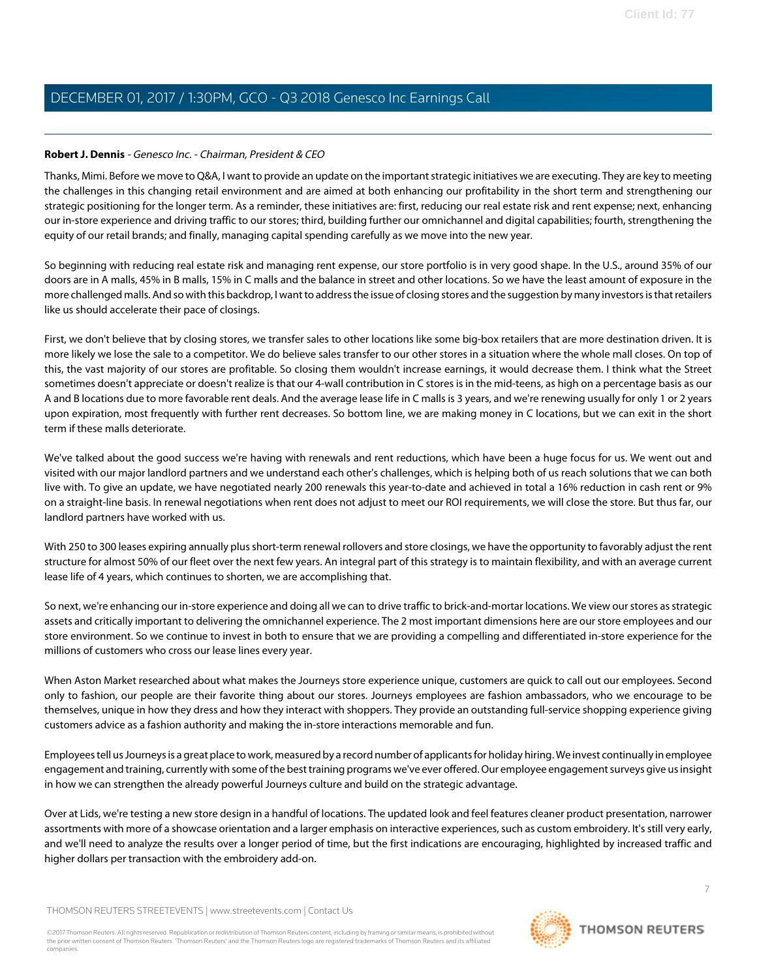### **Robert J. Dennis** - Genesco Inc. - Chairman, President & CEO

Thanks, Mimi. Before we move to Q&A, I want to provide an update on the important strategic initiatives we are executing. They are key to meeting the challenges in this changing retail environment and are aimed at both enhancing our profitability in the short term and strengthening our strategic positioning for the longer term. As a reminder, these initiatives are: first, reducing our real estate risk and rent expense; next, enhancing our in-store experience and driving traffic to our stores; third, building further our omnichannel and digital capabilities; fourth, strengthening the equity of our retail brands; and finally, managing capital spending carefully as we move into the new year.

So beginning with reducing real estate risk and managing rent expense, our store portfolio is in very good shape. In the U.S., around 35% of our doors are in A malls, 45% in B malls, 15% in C malls and the balance in street and other locations. So we have the least amount of exposure in the more challenged malls. And so with this backdrop, I want to address the issue of closing stores and the suggestion by many investors is that retailers like us should accelerate their pace of closings.

First, we don't believe that by closing stores, we transfer sales to other locations like some big-box retailers that are more destination driven. It is more likely we lose the sale to a competitor. We do believe sales transfer to our other stores in a situation where the whole mall closes. On top of this, the vast majority of our stores are profitable. So closing them wouldn't increase earnings, it would decrease them. I think what the Street sometimes doesn't appreciate or doesn't realize is that our 4-wall contribution in C stores is in the mid-teens, as high on a percentage basis as our A and B locations due to more favorable rent deals. And the average lease life in C malls is 3 years, and we're renewing usually for only 1 or 2 years upon expiration, most frequently with further rent decreases. So bottom line, we are making money in C locations, but we can exit in the short term if these malls deteriorate.

We've talked about the good success we're having with renewals and rent reductions, which have been a huge focus for us. We went out and visited with our major landlord partners and we understand each other's challenges, which is helping both of us reach solutions that we can both live with. To give an update, we have negotiated nearly 200 renewals this year-to-date and achieved in total a 16% reduction in cash rent or 9% on a straight-line basis. In renewal negotiations when rent does not adjust to meet our ROI requirements, we will close the store. But thus far, our landlord partners have worked with us.

With 250 to 300 leases expiring annually plus short-term renewal rollovers and store closings, we have the opportunity to favorably adjust the rent structure for almost 50% of our fleet over the next few years. An integral part of this strategy is to maintain flexibility, and with an average current lease life of 4 years, which continues to shorten, we are accomplishing that.

So next, we're enhancing our in-store experience and doing all we can to drive traffic to brick-and-mortar locations. We view our stores as strategic assets and critically important to delivering the omnichannel experience. The 2 most important dimensions here are our store employees and our store environment. So we continue to invest in both to ensure that we are providing a compelling and differentiated in-store experience for the millions of customers who cross our lease lines every year.

When Aston Market researched about what makes the Journeys store experience unique, customers are quick to call out our employees. Second only to fashion, our people are their favorite thing about our stores. Journeys employees are fashion ambassadors, who we encourage to be themselves, unique in how they dress and how they interact with shoppers. They provide an outstanding full-service shopping experience giving customers advice as a fashion authority and making the in-store interactions memorable and fun.

Employees tell us Journeys is a great place to work, measured by a record number of applicants for holiday hiring. We invest continually in employee engagement and training, currently with some of the best training programs we've ever offered. Our employee engagement surveys give us insight in how we can strengthen the already powerful Journeys culture and build on the strategic advantage.

Over at Lids, we're testing a new store design in a handful of locations. The updated look and feel features cleaner product presentation, narrower assortments with more of a showcase orientation and a larger emphasis on interactive experiences, such as custom embroidery. It's still very early, and we'll need to analyze the results over a longer period of time, but the first indications are encouraging, highlighted by increased traffic and higher dollars per transaction with the embroidery add-on.

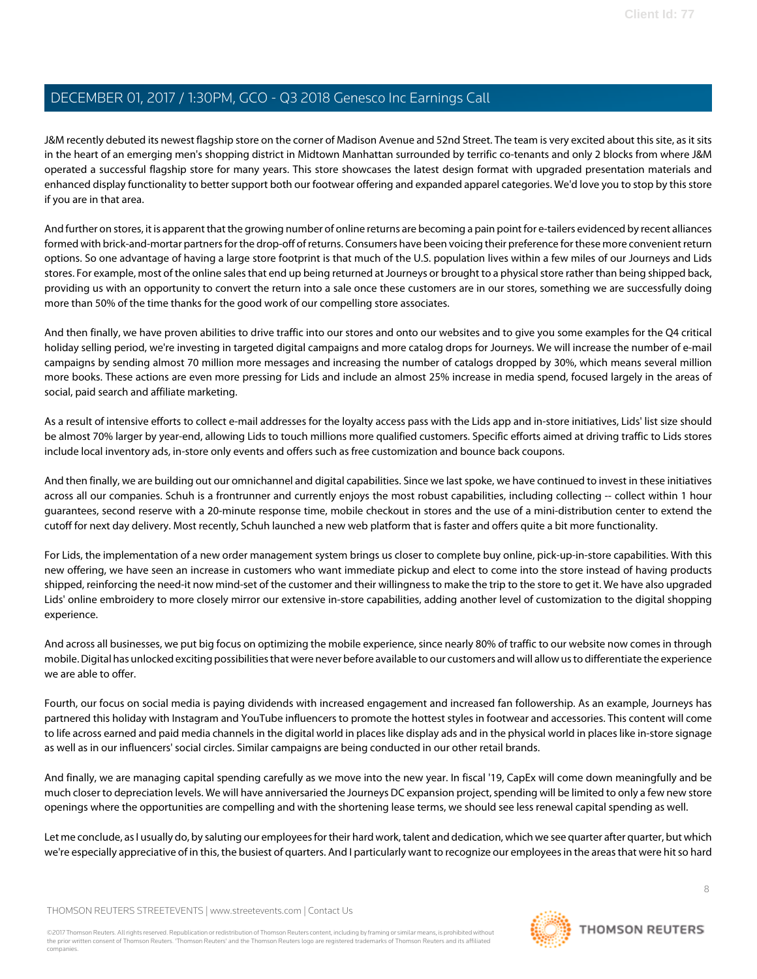J&M recently debuted its newest flagship store on the corner of Madison Avenue and 52nd Street. The team is very excited about this site, as it sits in the heart of an emerging men's shopping district in Midtown Manhattan surrounded by terrific co-tenants and only 2 blocks from where J&M operated a successful flagship store for many years. This store showcases the latest design format with upgraded presentation materials and enhanced display functionality to better support both our footwear offering and expanded apparel categories. We'd love you to stop by this store if you are in that area.

And further on stores, it is apparent that the growing number of online returns are becoming a pain point for e-tailers evidenced by recent alliances formed with brick-and-mortar partners for the drop-off of returns. Consumers have been voicing their preference for these more convenient return options. So one advantage of having a large store footprint is that much of the U.S. population lives within a few miles of our Journeys and Lids stores. For example, most of the online sales that end up being returned at Journeys or brought to a physical store rather than being shipped back, providing us with an opportunity to convert the return into a sale once these customers are in our stores, something we are successfully doing more than 50% of the time thanks for the good work of our compelling store associates.

And then finally, we have proven abilities to drive traffic into our stores and onto our websites and to give you some examples for the Q4 critical holiday selling period, we're investing in targeted digital campaigns and more catalog drops for Journeys. We will increase the number of e-mail campaigns by sending almost 70 million more messages and increasing the number of catalogs dropped by 30%, which means several million more books. These actions are even more pressing for Lids and include an almost 25% increase in media spend, focused largely in the areas of social, paid search and affiliate marketing.

As a result of intensive efforts to collect e-mail addresses for the loyalty access pass with the Lids app and in-store initiatives, Lids' list size should be almost 70% larger by year-end, allowing Lids to touch millions more qualified customers. Specific efforts aimed at driving traffic to Lids stores include local inventory ads, in-store only events and offers such as free customization and bounce back coupons.

And then finally, we are building out our omnichannel and digital capabilities. Since we last spoke, we have continued to invest in these initiatives across all our companies. Schuh is a frontrunner and currently enjoys the most robust capabilities, including collecting -- collect within 1 hour guarantees, second reserve with a 20-minute response time, mobile checkout in stores and the use of a mini-distribution center to extend the cutoff for next day delivery. Most recently, Schuh launched a new web platform that is faster and offers quite a bit more functionality.

For Lids, the implementation of a new order management system brings us closer to complete buy online, pick-up-in-store capabilities. With this new offering, we have seen an increase in customers who want immediate pickup and elect to come into the store instead of having products shipped, reinforcing the need-it now mind-set of the customer and their willingness to make the trip to the store to get it. We have also upgraded Lids' online embroidery to more closely mirror our extensive in-store capabilities, adding another level of customization to the digital shopping experience.

And across all businesses, we put big focus on optimizing the mobile experience, since nearly 80% of traffic to our website now comes in through mobile. Digital has unlocked exciting possibilities that were never before available to our customers and will allow us to differentiate the experience we are able to offer.

Fourth, our focus on social media is paying dividends with increased engagement and increased fan followership. As an example, Journeys has partnered this holiday with Instagram and YouTube influencers to promote the hottest styles in footwear and accessories. This content will come to life across earned and paid media channels in the digital world in places like display ads and in the physical world in places like in-store signage as well as in our influencers' social circles. Similar campaigns are being conducted in our other retail brands.

And finally, we are managing capital spending carefully as we move into the new year. In fiscal '19, CapEx will come down meaningfully and be much closer to depreciation levels. We will have anniversaried the Journeys DC expansion project, spending will be limited to only a few new store openings where the opportunities are compelling and with the shortening lease terms, we should see less renewal capital spending as well.

Let me conclude, as I usually do, by saluting our employees for their hard work, talent and dedication, which we see quarter after quarter, but which we're especially appreciative of in this, the busiest of quarters. And I particularly want to recognize our employees in the areas that were hit so hard

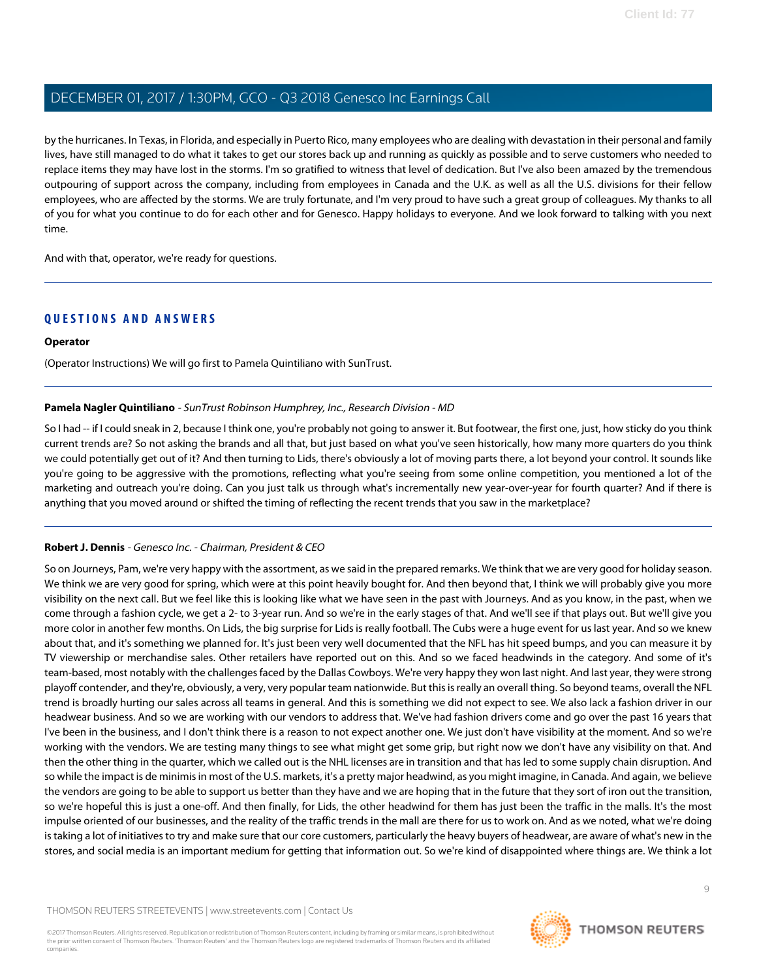by the hurricanes. In Texas, in Florida, and especially in Puerto Rico, many employees who are dealing with devastation in their personal and family lives, have still managed to do what it takes to get our stores back up and running as quickly as possible and to serve customers who needed to replace items they may have lost in the storms. I'm so gratified to witness that level of dedication. But I've also been amazed by the tremendous outpouring of support across the company, including from employees in Canada and the U.K. as well as all the U.S. divisions for their fellow employees, who are affected by the storms. We are truly fortunate, and I'm very proud to have such a great group of colleagues. My thanks to all of you for what you continue to do for each other and for Genesco. Happy holidays to everyone. And we look forward to talking with you next time.

And with that, operator, we're ready for questions.

# **QUESTIONS AND ANSWERS**

#### **Operator**

<span id="page-8-0"></span>(Operator Instructions) We will go first to Pamela Quintiliano with SunTrust.

#### **Pamela Nagler Quintiliano** - SunTrust Robinson Humphrey, Inc., Research Division - MD

So I had -- if I could sneak in 2, because I think one, you're probably not going to answer it. But footwear, the first one, just, how sticky do you think current trends are? So not asking the brands and all that, but just based on what you've seen historically, how many more quarters do you think we could potentially get out of it? And then turning to Lids, there's obviously a lot of moving parts there, a lot beyond your control. It sounds like you're going to be aggressive with the promotions, reflecting what you're seeing from some online competition, you mentioned a lot of the marketing and outreach you're doing. Can you just talk us through what's incrementally new year-over-year for fourth quarter? And if there is anything that you moved around or shifted the timing of reflecting the recent trends that you saw in the marketplace?

#### **Robert J. Dennis** - Genesco Inc. - Chairman, President & CEO

So on Journeys, Pam, we're very happy with the assortment, as we said in the prepared remarks. We think that we are very good for holiday season. We think we are very good for spring, which were at this point heavily bought for. And then beyond that, I think we will probably give you more visibility on the next call. But we feel like this is looking like what we have seen in the past with Journeys. And as you know, in the past, when we come through a fashion cycle, we get a 2- to 3-year run. And so we're in the early stages of that. And we'll see if that plays out. But we'll give you more color in another few months. On Lids, the big surprise for Lids is really football. The Cubs were a huge event for us last year. And so we knew about that, and it's something we planned for. It's just been very well documented that the NFL has hit speed bumps, and you can measure it by TV viewership or merchandise sales. Other retailers have reported out on this. And so we faced headwinds in the category. And some of it's team-based, most notably with the challenges faced by the Dallas Cowboys. We're very happy they won last night. And last year, they were strong playoff contender, and they're, obviously, a very, very popular team nationwide. But this is really an overall thing. So beyond teams, overall the NFL trend is broadly hurting our sales across all teams in general. And this is something we did not expect to see. We also lack a fashion driver in our headwear business. And so we are working with our vendors to address that. We've had fashion drivers come and go over the past 16 years that I've been in the business, and I don't think there is a reason to not expect another one. We just don't have visibility at the moment. And so we're working with the vendors. We are testing many things to see what might get some grip, but right now we don't have any visibility on that. And then the other thing in the quarter, which we called out is the NHL licenses are in transition and that has led to some supply chain disruption. And so while the impact is de minimis in most of the U.S. markets, it's a pretty major headwind, as you might imagine, in Canada. And again, we believe the vendors are going to be able to support us better than they have and we are hoping that in the future that they sort of iron out the transition, so we're hopeful this is just a one-off. And then finally, for Lids, the other headwind for them has just been the traffic in the malls. It's the most impulse oriented of our businesses, and the reality of the traffic trends in the mall are there for us to work on. And as we noted, what we're doing is taking a lot of initiatives to try and make sure that our core customers, particularly the heavy buyers of headwear, are aware of what's new in the stores, and social media is an important medium for getting that information out. So we're kind of disappointed where things are. We think a lot

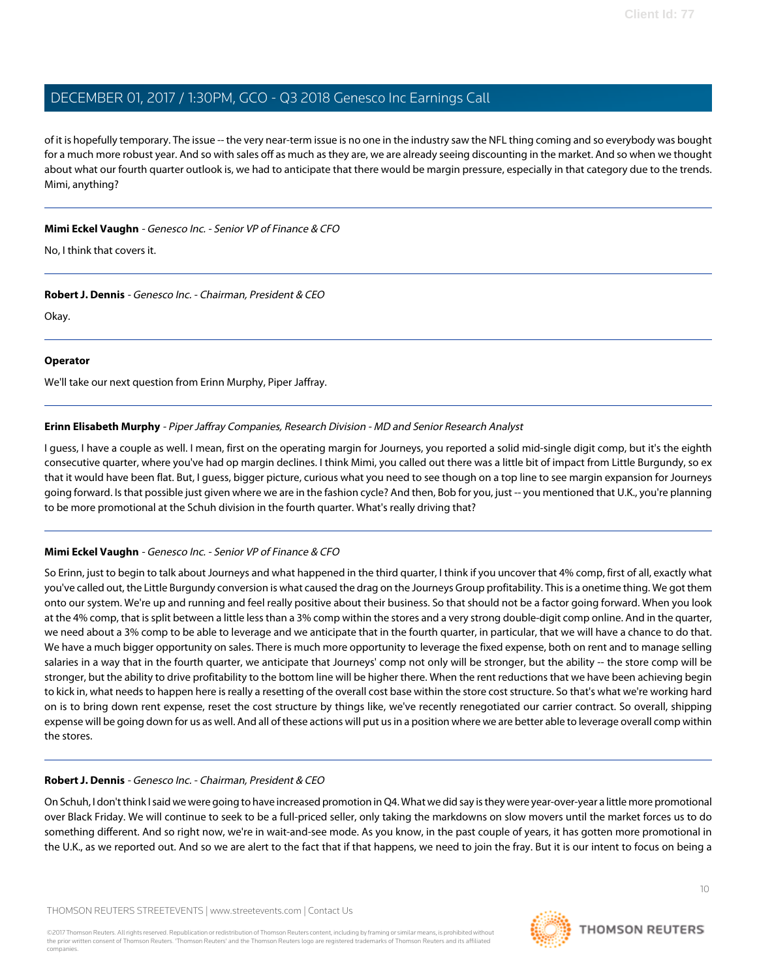of it is hopefully temporary. The issue -- the very near-term issue is no one in the industry saw the NFL thing coming and so everybody was bought for a much more robust year. And so with sales off as much as they are, we are already seeing discounting in the market. And so when we thought about what our fourth quarter outlook is, we had to anticipate that there would be margin pressure, especially in that category due to the trends. Mimi, anything?

### **Mimi Eckel Vaughn** - Genesco Inc. - Senior VP of Finance & CFO

No, I think that covers it.

**Robert J. Dennis** - Genesco Inc. - Chairman, President & CEO

Okay.

### **Operator**

<span id="page-9-0"></span>We'll take our next question from Erinn Murphy, Piper Jaffray.

# **Erinn Elisabeth Murphy** - Piper Jaffray Companies, Research Division - MD and Senior Research Analyst

I guess, I have a couple as well. I mean, first on the operating margin for Journeys, you reported a solid mid-single digit comp, but it's the eighth consecutive quarter, where you've had op margin declines. I think Mimi, you called out there was a little bit of impact from Little Burgundy, so ex that it would have been flat. But, I guess, bigger picture, curious what you need to see though on a top line to see margin expansion for Journeys going forward. Is that possible just given where we are in the fashion cycle? And then, Bob for you, just -- you mentioned that U.K., you're planning to be more promotional at the Schuh division in the fourth quarter. What's really driving that?

# **Mimi Eckel Vaughn** - Genesco Inc. - Senior VP of Finance & CFO

So Erinn, just to begin to talk about Journeys and what happened in the third quarter, I think if you uncover that 4% comp, first of all, exactly what you've called out, the Little Burgundy conversion is what caused the drag on the Journeys Group profitability. This is a onetime thing. We got them onto our system. We're up and running and feel really positive about their business. So that should not be a factor going forward. When you look at the 4% comp, that is split between a little less than a 3% comp within the stores and a very strong double-digit comp online. And in the quarter, we need about a 3% comp to be able to leverage and we anticipate that in the fourth quarter, in particular, that we will have a chance to do that. We have a much bigger opportunity on sales. There is much more opportunity to leverage the fixed expense, both on rent and to manage selling salaries in a way that in the fourth quarter, we anticipate that Journeys' comp not only will be stronger, but the ability -- the store comp will be stronger, but the ability to drive profitability to the bottom line will be higher there. When the rent reductions that we have been achieving begin to kick in, what needs to happen here is really a resetting of the overall cost base within the store cost structure. So that's what we're working hard on is to bring down rent expense, reset the cost structure by things like, we've recently renegotiated our carrier contract. So overall, shipping expense will be going down for us as well. And all of these actions will put us in a position where we are better able to leverage overall comp within the stores.

# **Robert J. Dennis** - Genesco Inc. - Chairman, President & CEO

On Schuh, I don't think I said we were going to have increased promotion in Q4. What we did say is they were year-over-year a little more promotional over Black Friday. We will continue to seek to be a full-priced seller, only taking the markdowns on slow movers until the market forces us to do something different. And so right now, we're in wait-and-see mode. As you know, in the past couple of years, it has gotten more promotional in the U.K., as we reported out. And so we are alert to the fact that if that happens, we need to join the fray. But it is our intent to focus on being a



**THOMSON REUTERS**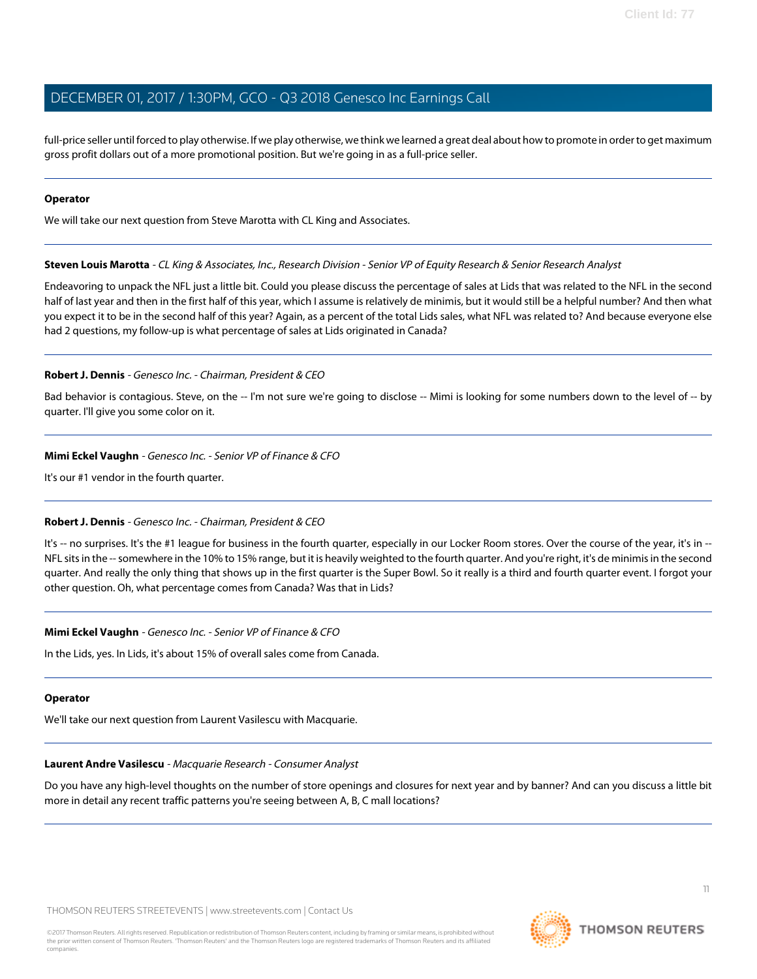full-price seller until forced to play otherwise. If we play otherwise, we think we learned a great deal about how to promote in order to get maximum gross profit dollars out of a more promotional position. But we're going in as a full-price seller.

#### **Operator**

<span id="page-10-1"></span>We will take our next question from Steve Marotta with CL King and Associates.

### **Steven Louis Marotta** - CL King & Associates, Inc., Research Division - Senior VP of Equity Research & Senior Research Analyst

Endeavoring to unpack the NFL just a little bit. Could you please discuss the percentage of sales at Lids that was related to the NFL in the second half of last year and then in the first half of this year, which I assume is relatively de minimis, but it would still be a helpful number? And then what you expect it to be in the second half of this year? Again, as a percent of the total Lids sales, what NFL was related to? And because everyone else had 2 questions, my follow-up is what percentage of sales at Lids originated in Canada?

# **Robert J. Dennis** - Genesco Inc. - Chairman, President & CEO

Bad behavior is contagious. Steve, on the -- I'm not sure we're going to disclose -- Mimi is looking for some numbers down to the level of -- by quarter. I'll give you some color on it.

# **Mimi Eckel Vaughn** - Genesco Inc. - Senior VP of Finance & CFO

It's our #1 vendor in the fourth quarter.

# **Robert J. Dennis** - Genesco Inc. - Chairman, President & CEO

It's -- no surprises. It's the #1 league for business in the fourth quarter, especially in our Locker Room stores. Over the course of the year, it's in --NFL sits in the -- somewhere in the 10% to 15% range, but it is heavily weighted to the fourth quarter. And you're right, it's de minimis in the second quarter. And really the only thing that shows up in the first quarter is the Super Bowl. So it really is a third and fourth quarter event. I forgot your other question. Oh, what percentage comes from Canada? Was that in Lids?

# **Mimi Eckel Vaughn** - Genesco Inc. - Senior VP of Finance & CFO

In the Lids, yes. In Lids, it's about 15% of overall sales come from Canada.

#### <span id="page-10-0"></span>**Operator**

We'll take our next question from Laurent Vasilescu with Macquarie.

#### **Laurent Andre Vasilescu** - Macquarie Research - Consumer Analyst

Do you have any high-level thoughts on the number of store openings and closures for next year and by banner? And can you discuss a little bit more in detail any recent traffic patterns you're seeing between A, B, C mall locations?

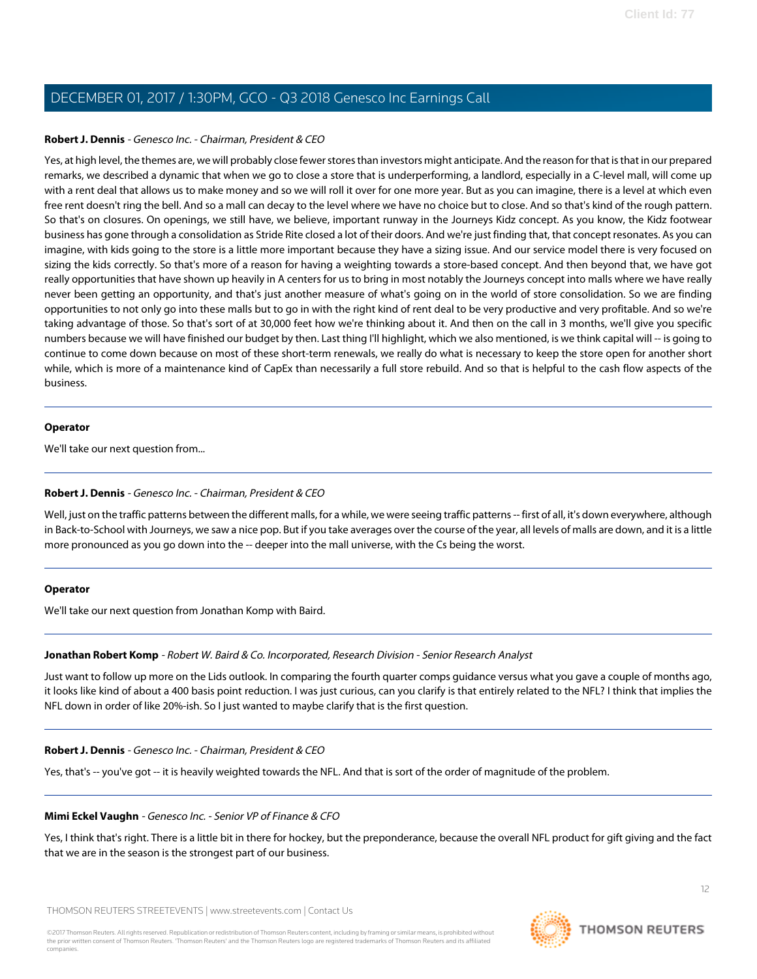#### **Robert J. Dennis** - Genesco Inc. - Chairman, President & CEO

Yes, at high level, the themes are, we will probably close fewer stores than investors might anticipate. And the reason for that is that in our prepared remarks, we described a dynamic that when we go to close a store that is underperforming, a landlord, especially in a C-level mall, will come up with a rent deal that allows us to make money and so we will roll it over for one more year. But as you can imagine, there is a level at which even free rent doesn't ring the bell. And so a mall can decay to the level where we have no choice but to close. And so that's kind of the rough pattern. So that's on closures. On openings, we still have, we believe, important runway in the Journeys Kidz concept. As you know, the Kidz footwear business has gone through a consolidation as Stride Rite closed a lot of their doors. And we're just finding that, that concept resonates. As you can imagine, with kids going to the store is a little more important because they have a sizing issue. And our service model there is very focused on sizing the kids correctly. So that's more of a reason for having a weighting towards a store-based concept. And then beyond that, we have got really opportunities that have shown up heavily in A centers for us to bring in most notably the Journeys concept into malls where we have really never been getting an opportunity, and that's just another measure of what's going on in the world of store consolidation. So we are finding opportunities to not only go into these malls but to go in with the right kind of rent deal to be very productive and very profitable. And so we're taking advantage of those. So that's sort of at 30,000 feet how we're thinking about it. And then on the call in 3 months, we'll give you specific numbers because we will have finished our budget by then. Last thing I'll highlight, which we also mentioned, is we think capital will -- is going to continue to come down because on most of these short-term renewals, we really do what is necessary to keep the store open for another short while, which is more of a maintenance kind of CapEx than necessarily a full store rebuild. And so that is helpful to the cash flow aspects of the business.

#### **Operator**

We'll take our next question from...

### **Robert J. Dennis** - Genesco Inc. - Chairman, President & CEO

Well, just on the traffic patterns between the different malls, for a while, we were seeing traffic patterns -- first of all, it's down everywhere, although in Back-to-School with Journeys, we saw a nice pop. But if you take averages over the course of the year, all levels of malls are down, and it is a little more pronounced as you go down into the -- deeper into the mall universe, with the Cs being the worst.

#### <span id="page-11-0"></span>**Operator**

We'll take our next question from Jonathan Komp with Baird.

#### **Jonathan Robert Komp** - Robert W. Baird & Co. Incorporated, Research Division - Senior Research Analyst

Just want to follow up more on the Lids outlook. In comparing the fourth quarter comps guidance versus what you gave a couple of months ago, it looks like kind of about a 400 basis point reduction. I was just curious, can you clarify is that entirely related to the NFL? I think that implies the NFL down in order of like 20%-ish. So I just wanted to maybe clarify that is the first question.

#### **Robert J. Dennis** - Genesco Inc. - Chairman, President & CEO

Yes, that's -- you've got -- it is heavily weighted towards the NFL. And that is sort of the order of magnitude of the problem.

#### **Mimi Eckel Vaughn** - Genesco Inc. - Senior VP of Finance & CFO

Yes, I think that's right. There is a little bit in there for hockey, but the preponderance, because the overall NFL product for gift giving and the fact that we are in the season is the strongest part of our business.

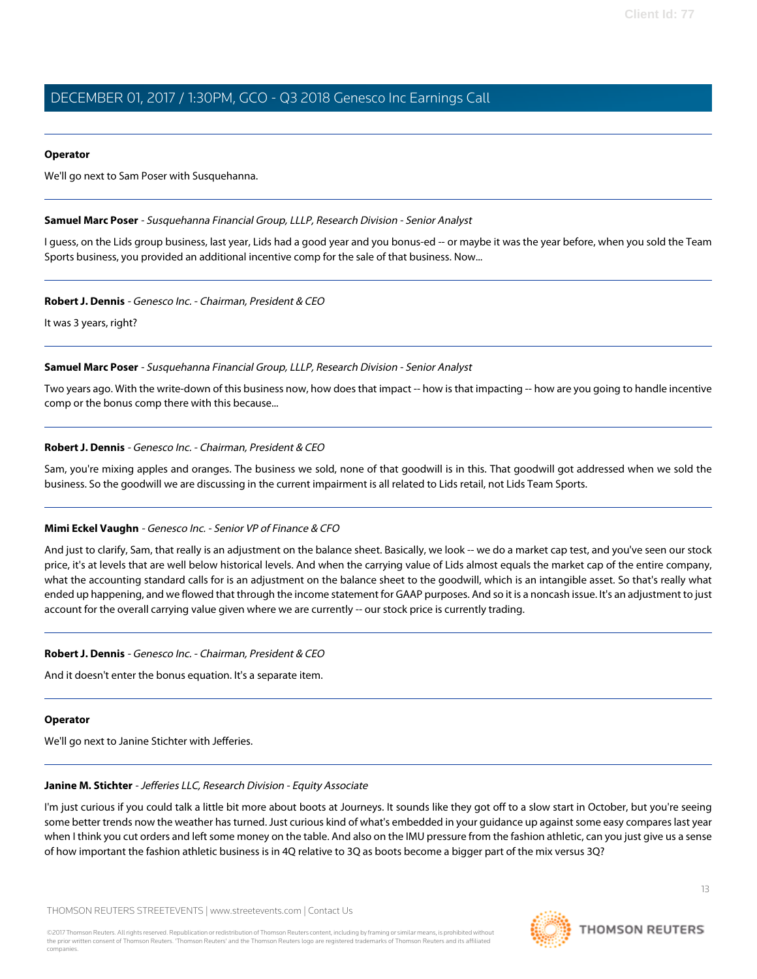#### **Operator**

<span id="page-12-1"></span>We'll go next to Sam Poser with Susquehanna.

#### **Samuel Marc Poser** - Susquehanna Financial Group, LLLP, Research Division - Senior Analyst

I guess, on the Lids group business, last year, Lids had a good year and you bonus-ed -- or maybe it was the year before, when you sold the Team Sports business, you provided an additional incentive comp for the sale of that business. Now...

#### **Robert J. Dennis** - Genesco Inc. - Chairman, President & CEO

It was 3 years, right?

#### **Samuel Marc Poser** - Susquehanna Financial Group, LLLP, Research Division - Senior Analyst

Two years ago. With the write-down of this business now, how does that impact -- how is that impacting -- how are you going to handle incentive comp or the bonus comp there with this because...

#### **Robert J. Dennis** - Genesco Inc. - Chairman, President & CEO

Sam, you're mixing apples and oranges. The business we sold, none of that goodwill is in this. That goodwill got addressed when we sold the business. So the goodwill we are discussing in the current impairment is all related to Lids retail, not Lids Team Sports.

#### **Mimi Eckel Vaughn** - Genesco Inc. - Senior VP of Finance & CFO

And just to clarify, Sam, that really is an adjustment on the balance sheet. Basically, we look -- we do a market cap test, and you've seen our stock price, it's at levels that are well below historical levels. And when the carrying value of Lids almost equals the market cap of the entire company, what the accounting standard calls for is an adjustment on the balance sheet to the goodwill, which is an intangible asset. So that's really what ended up happening, and we flowed that through the income statement for GAAP purposes. And so it is a noncash issue. It's an adjustment to just account for the overall carrying value given where we are currently -- our stock price is currently trading.

#### **Robert J. Dennis** - Genesco Inc. - Chairman, President & CEO

And it doesn't enter the bonus equation. It's a separate item.

#### <span id="page-12-0"></span>**Operator**

We'll go next to Janine Stichter with Jefferies.

#### **Janine M. Stichter** - Jefferies LLC, Research Division - Equity Associate

I'm just curious if you could talk a little bit more about boots at Journeys. It sounds like they got off to a slow start in October, but you're seeing some better trends now the weather has turned. Just curious kind of what's embedded in your guidance up against some easy compares last year when I think you cut orders and left some money on the table. And also on the IMU pressure from the fashion athletic, can you just give us a sense of how important the fashion athletic business is in 4Q relative to 3Q as boots become a bigger part of the mix versus 3Q?

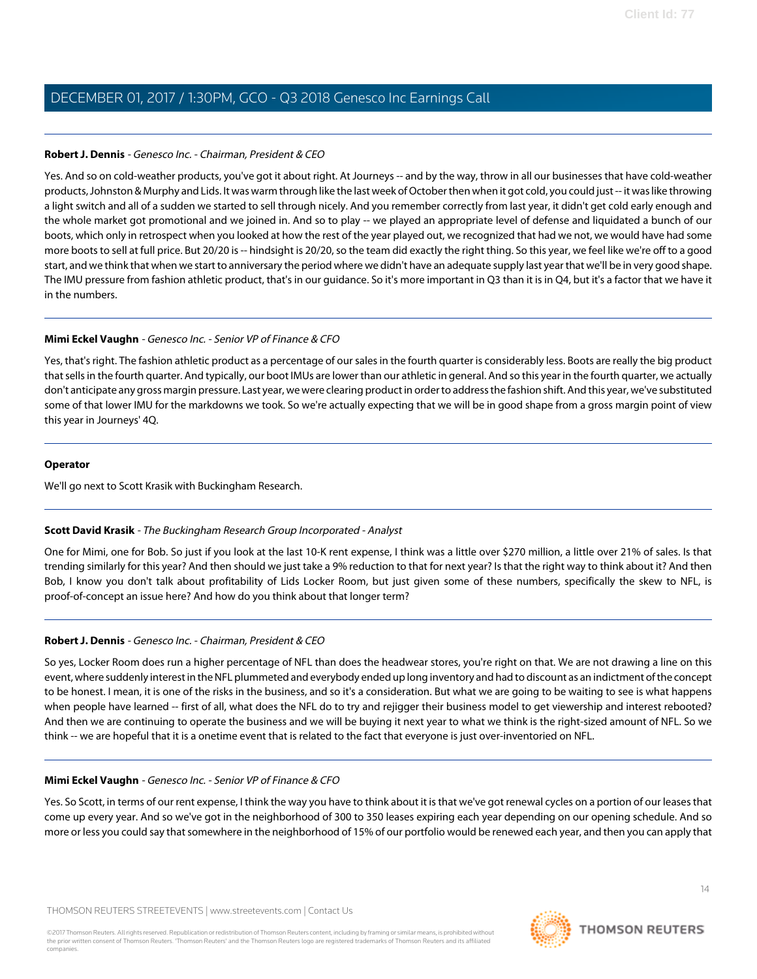### **Robert J. Dennis** - Genesco Inc. - Chairman, President & CEO

Yes. And so on cold-weather products, you've got it about right. At Journeys -- and by the way, throw in all our businesses that have cold-weather products, Johnston & Murphy and Lids. It was warm through like the last week of October then when it got cold, you could just -- it was like throwing a light switch and all of a sudden we started to sell through nicely. And you remember correctly from last year, it didn't get cold early enough and the whole market got promotional and we joined in. And so to play -- we played an appropriate level of defense and liquidated a bunch of our boots, which only in retrospect when you looked at how the rest of the year played out, we recognized that had we not, we would have had some more boots to sell at full price. But 20/20 is -- hindsight is 20/20, so the team did exactly the right thing. So this year, we feel like we're off to a good start, and we think that when we start to anniversary the period where we didn't have an adequate supply last year that we'll be in very good shape. The IMU pressure from fashion athletic product, that's in our guidance. So it's more important in Q3 than it is in Q4, but it's a factor that we have it in the numbers.

### **Mimi Eckel Vaughn** - Genesco Inc. - Senior VP of Finance & CFO

Yes, that's right. The fashion athletic product as a percentage of our sales in the fourth quarter is considerably less. Boots are really the big product that sells in the fourth quarter. And typically, our boot IMUs are lower than our athletic in general. And so this year in the fourth quarter, we actually don't anticipate any gross margin pressure. Last year, we were clearing product in order to address the fashion shift. And this year, we've substituted some of that lower IMU for the markdowns we took. So we're actually expecting that we will be in good shape from a gross margin point of view this year in Journeys' 4Q.

### **Operator**

<span id="page-13-0"></span>We'll go next to Scott Krasik with Buckingham Research.

# **Scott David Krasik** - The Buckingham Research Group Incorporated - Analyst

One for Mimi, one for Bob. So just if you look at the last 10-K rent expense, I think was a little over \$270 million, a little over 21% of sales. Is that trending similarly for this year? And then should we just take a 9% reduction to that for next year? Is that the right way to think about it? And then Bob, I know you don't talk about profitability of Lids Locker Room, but just given some of these numbers, specifically the skew to NFL, is proof-of-concept an issue here? And how do you think about that longer term?

# **Robert J. Dennis** - Genesco Inc. - Chairman, President & CEO

So yes, Locker Room does run a higher percentage of NFL than does the headwear stores, you're right on that. We are not drawing a line on this event, where suddenly interest in the NFL plummeted and everybody ended up long inventory and had to discount as an indictment of the concept to be honest. I mean, it is one of the risks in the business, and so it's a consideration. But what we are going to be waiting to see is what happens when people have learned -- first of all, what does the NFL do to try and rejigger their business model to get viewership and interest rebooted? And then we are continuing to operate the business and we will be buying it next year to what we think is the right-sized amount of NFL. So we think -- we are hopeful that it is a onetime event that is related to the fact that everyone is just over-inventoried on NFL.

#### **Mimi Eckel Vaughn** - Genesco Inc. - Senior VP of Finance & CFO

Yes. So Scott, in terms of our rent expense, I think the way you have to think about it is that we've got renewal cycles on a portion of our leases that come up every year. And so we've got in the neighborhood of 300 to 350 leases expiring each year depending on our opening schedule. And so more or less you could say that somewhere in the neighborhood of 15% of our portfolio would be renewed each year, and then you can apply that

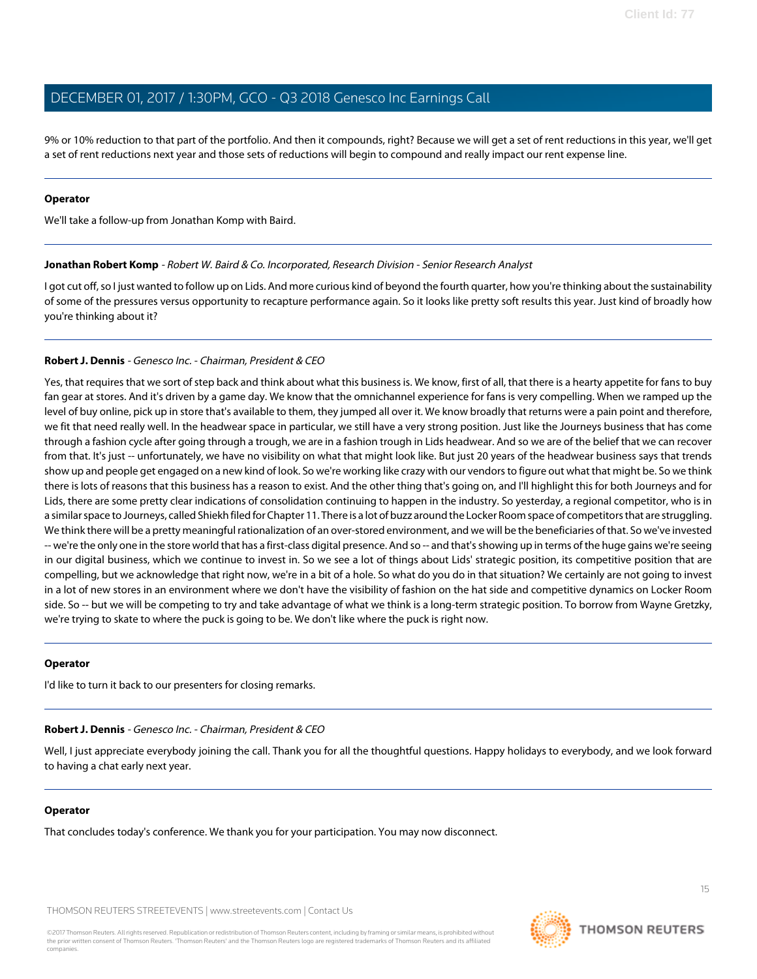9% or 10% reduction to that part of the portfolio. And then it compounds, right? Because we will get a set of rent reductions in this year, we'll get a set of rent reductions next year and those sets of reductions will begin to compound and really impact our rent expense line.

#### **Operator**

We'll take a follow-up from Jonathan Komp with Baird.

#### **Jonathan Robert Komp** - Robert W. Baird & Co. Incorporated, Research Division - Senior Research Analyst

I got cut off, so I just wanted to follow up on Lids. And more curious kind of beyond the fourth quarter, how you're thinking about the sustainability of some of the pressures versus opportunity to recapture performance again. So it looks like pretty soft results this year. Just kind of broadly how you're thinking about it?

#### **Robert J. Dennis** - Genesco Inc. - Chairman, President & CEO

Yes, that requires that we sort of step back and think about what this business is. We know, first of all, that there is a hearty appetite for fans to buy fan gear at stores. And it's driven by a game day. We know that the omnichannel experience for fans is very compelling. When we ramped up the level of buy online, pick up in store that's available to them, they jumped all over it. We know broadly that returns were a pain point and therefore, we fit that need really well. In the headwear space in particular, we still have a very strong position. Just like the Journeys business that has come through a fashion cycle after going through a trough, we are in a fashion trough in Lids headwear. And so we are of the belief that we can recover from that. It's just -- unfortunately, we have no visibility on what that might look like. But just 20 years of the headwear business says that trends show up and people get engaged on a new kind of look. So we're working like crazy with our vendors to figure out what that might be. So we think there is lots of reasons that this business has a reason to exist. And the other thing that's going on, and I'll highlight this for both Journeys and for Lids, there are some pretty clear indications of consolidation continuing to happen in the industry. So yesterday, a regional competitor, who is in a similar space to Journeys, called Shiekh filed for Chapter 11. There is a lot of buzz around the Locker Room space of competitors that are struggling. We think there will be a pretty meaningful rationalization of an over-stored environment, and we will be the beneficiaries of that. So we've invested -- we're the only one in the store world that has a first-class digital presence. And so -- and that's showing up in terms of the huge gains we're seeing in our digital business, which we continue to invest in. So we see a lot of things about Lids' strategic position, its competitive position that are compelling, but we acknowledge that right now, we're in a bit of a hole. So what do you do in that situation? We certainly are not going to invest in a lot of new stores in an environment where we don't have the visibility of fashion on the hat side and competitive dynamics on Locker Room side. So -- but we will be competing to try and take advantage of what we think is a long-term strategic position. To borrow from Wayne Gretzky, we're trying to skate to where the puck is going to be. We don't like where the puck is right now.

#### **Operator**

I'd like to turn it back to our presenters for closing remarks.

#### **Robert J. Dennis** - Genesco Inc. - Chairman, President & CEO

Well, I just appreciate everybody joining the call. Thank you for all the thoughtful questions. Happy holidays to everybody, and we look forward to having a chat early next year.

#### **Operator**

That concludes today's conference. We thank you for your participation. You may now disconnect.

THOMSON REUTERS STREETEVENTS | [www.streetevents.com](http://www.streetevents.com) | [Contact Us](http://www010.streetevents.com/contact.asp)